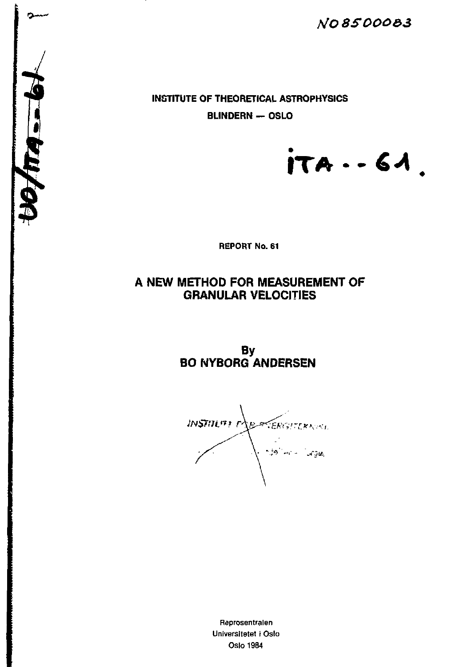**YO** *85000&3* 

**INSTITUTE OF THEORETICAL ASTROPHYSICS BLINDERN — OSLO** 

*i* 

**ITA -•** *€A* 

**REPORT No. 61** 

# **A NEW METHOD FOR MEASUREMENT OF GRANULAR VELOCITIES**

**By BO NYBORG ANDERSEN** 

*<i>JNSTILITI PAR SERGITERNAL* nda Turu - Turges

Reprosentralen Universitetet i Oslo Oslo 1984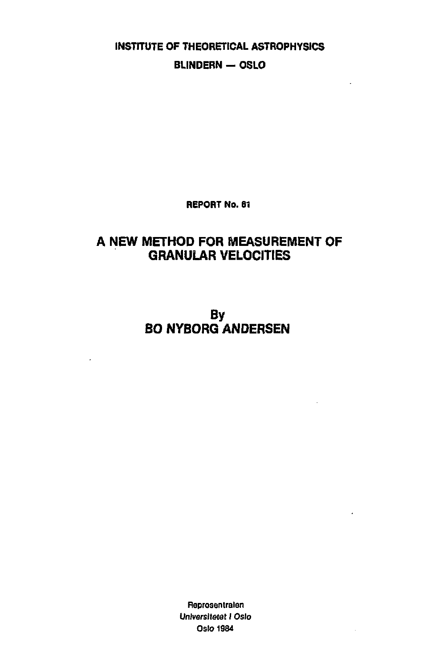**INSTITUTE OF THEORETICAL ASTROPHYSICS BLINDERN - OSLO** 

 $\overline{a}$ 

 $\lambda$ 

**REPORT No. 61** 

# **A NEW METHOD FOR MEASUREMENT OF GRANULAR VELOCITIES**

**By BO NYBORG ANDERSEN** 

> **fleprosentralen**  *Universitetet I Oslo*  **Oslo 1984**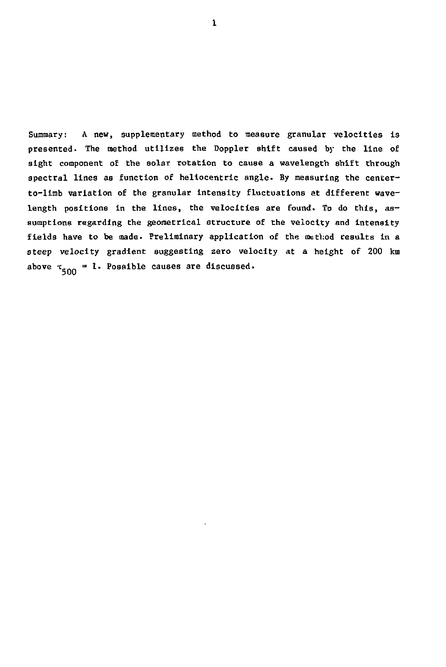Summary: A new, supplementary method to measure granular velocities is presented. The method utilizes the Doppler shift caused by the line of sight component of the solar rotation to cause a wavelength shift through spectral lines as function of heliocentric angle. By measuring the centerto-limb variation of the granular intensity fluctuations at different wavelength positions in the lines, the velocities are found. To do this, assumptions regarding the geometrical structure of the velocity and intensity fields have to be made. Preliminary application of the method results in a steep velocity gradient suggesting zero velocity at a height of 200 km above  $\tau_{\epsilon,00} = 1$ . Possible causes are discussed.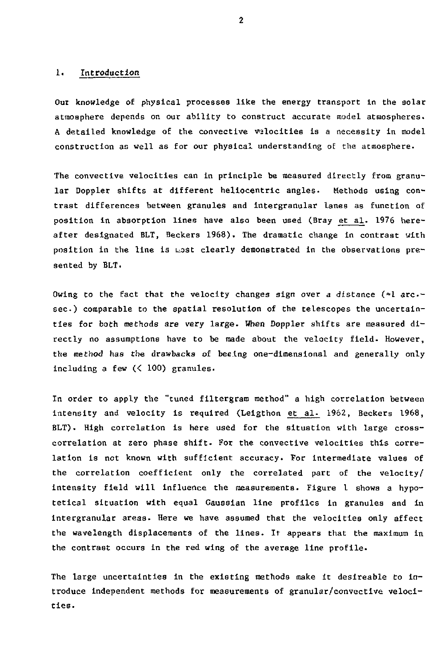# 1. Introduction

Our knowledge of physical processes like the energy transport in the solar atmosphere depends on our ability to construct accurate model atmospheres. A detailed knowledge of the convective velocities is a necessity in model construction as well as for our physical understanding of the atmosphere.

The convective velocities can in principle be measured directly from granular Doppler shifts at different heliocentric angles. Methods using contrast differences between granules and intergranular lanes as function of position in absorption lines have also been used (Bray et al. 1976 hereafter designated BLT, Beckers 1968). The dramatic change in contrast with position in the line is uost clearly demonstrated in the observations presented by BLT.

Owing to the fact that the velocity changes sign over a distance  $(\approx 1 \text{ arc}$ sec.) comparable to the spatial resolution of the telescopes the uncertainties for both methods are very large. When Doppler shifts are measured directly no assumptions have to be made about the velocity field. However, the method has the drawbacks of beeing one-dimensional and generally only including a few (< 100) granules.

In order to apply the "tuned filtergram method" a high correlation between intensity and velocity is required (Lelgthon et al. 1962, Beckers 1968, BLT). High correlation is here used for the situation with large crosscorrelation at zero phase shift. For the convective velocities this correlation is not known with sufficient accuracy. For intermediate values of the correlation coefficient only the correlated part of the velocity/ Intensity field will influence the measurements. Figure I shows a hypotetical situation with equal Gaussian line profiles in granules and in intergranular areas. Here we have assumed that the velocities only affect the wavelength displacements of the lines. It appears that the maximum in the contrast occurs in the red wing of the average line profile.

The large uncertainties in the existing methods make It desireable to introduce independent methods for measurements of granular/convective velocities.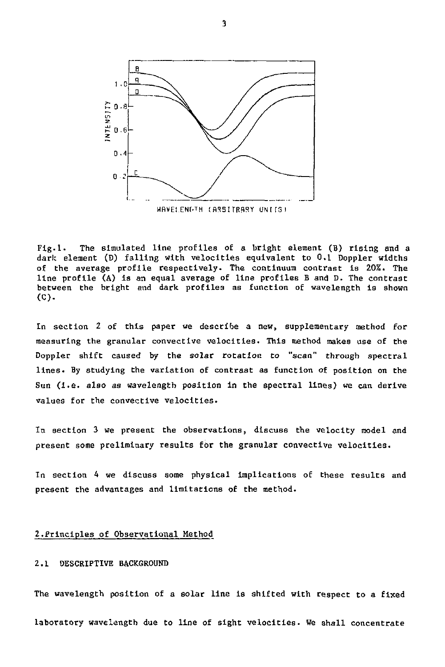

Fig.l. The simulated line profiles of a bright element (B) rising and a dark element (D) falling with velocities equivalent to 0,1 Doppler widths of the average profile respectively. The continuum contrast is 20%. The line profile (A) is an equal average of line profiles B and D. The contrast between the bright and dark profiles as function of wavelength is shown (C).

In section 2 of this paper we describe a new, supplementary method for measuring the granular convective velocities. This method makes use of the Doppler shift caused by the solar rotation *to "scan"* through spectral lines. By studying the variation of contrast as function of position on the Sun (i.e. also as wavelength position in the spectral lines) we can derive values for the convective velocities.

In section 3 we present the observations, discuss the velocity model and present some preliminary results for the granular convective velocities.

In section 4 we discuss some physical implications of these results and present the advantages and limitations of the method.

## 2.Principles of Observational Method

### 2.1 DESCRIPTIVE BACKGROUND

The wavelength position of a solar line is shifted with respect to a fixed laboratory wavelength due to line of sight velocities. We shall concentrate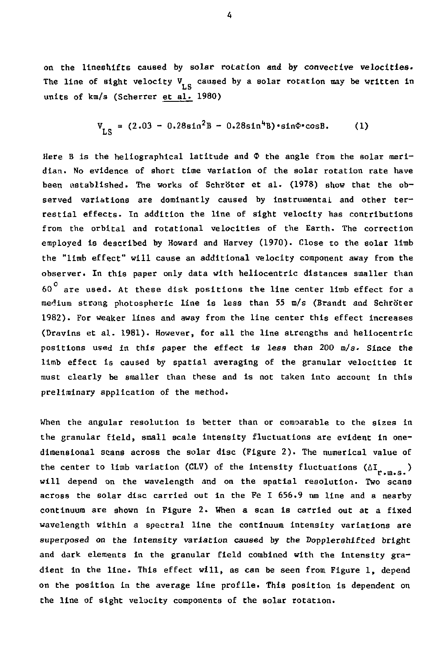on the lineshifts caused by solar rotation and by convective velocities. The line of sight velocity  $V_{\text{ref}}$  caused by a solar rotation may be written in units of km/s (Scherrer et al. 1980)

$$
V_{LS} = (2.03 - 0.28 \sin^2 B - 0.28 \sin^4 B) \cdot \sin \Phi \cdot \cos B. \tag{1}
$$

Here B is the heliographical latitude and  $\Phi$  the angle from the solar meridian. No evidence of short time variation of the solar rotation rate have been established. The works of Schrb'ter et al. (1978) show that the observed variations are dominantly caused by instrumental and other terrestial effects. In addition the line of sight velocity has contributions from the orbital and rotational velocities of the Earth. The correction employed is described by Howard and Harvey (1970). Close to the solar limb the "limb effect" will cause an additional velocity component away from the observer. In this paper only data with heliocentric distances smaller than  $60^\mathrm{\,o}$  are used. At these disk positions the line center limb effect for a medium strong photospheric line is less than 55 m/s (Brandt and Schroter 1982). For weaker lines and away from the line center this effect Increases (Dravins et al. 1981). However, for all the line strengths and heliocentric positions used in this paper the effect is less than 200 m/s. Since the limb effect is caused by spatial averaging of the granular velocities it must clearly be smaller than these and is not taken into account in this preliminary application of the method.

When the angular resolution is better than or comparable to the sizes in the granular field, small scale intensity fluctuations are evident in onedimensional scans across the solar disc (Figure 2) . The numerical value of the center to limb variation (CLV) of the intensity fluctuations  $(\Delta I_{\mu_1,\mu_2,\mu_3})$ will depend on the wavelength and on the spatial resolution. Two scans across the solar disc carried out in the Fe I 656.9 nm line and a nearby continuum are shown in Figure 2. When a scan is carried out at a fixed wavelength within a spectral line the continuum intensity variations are superposed on the intensity variation caused by the Dopplershifted bright and dark elements in the granular field combined with the intensity gradient in the line. This effect will, as can be seen from Figure 1, depend on the position in the average line profile. This position is dependent on the line of sight velocity components of the solar rotation.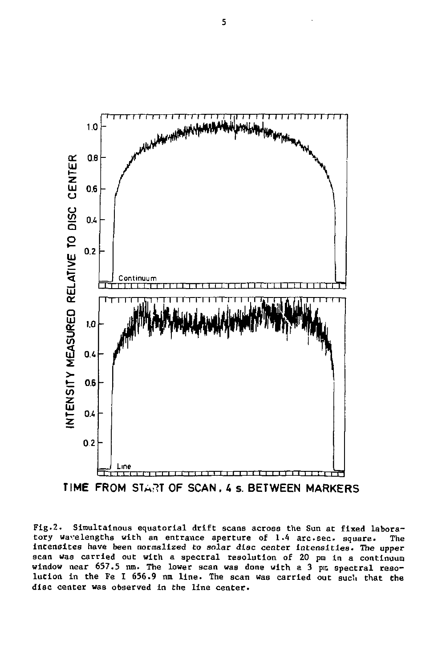

**TIME FROM STA^T OF SCAN . 4 s. BETWEEN MARKERS** 

Fig.2. Slraultainous equatorial drift scans across the Sun at fixed laboratory wavelengths with an entrance aperture of 1.4 arc.sec. square. The intensites have been normalized to solar disc center intensities. The upper scan was carried out with a spectral resolution of 20 pm in a continuum window near 657.5 nm. The lower scan was done with a 3 pm spectral resolution in the Fe I 656.9 nm line. The scan was carried out such that the disc center was observed in the line center.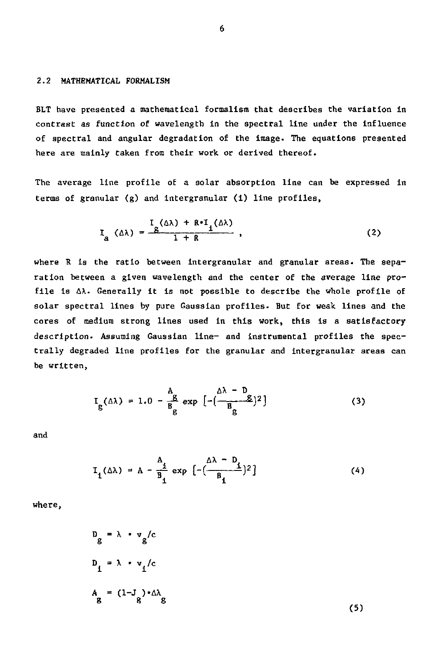# 2.2 MATHEMATICAL FORMALISM

BLT have presented a mathematical formalism that describes the variation in contrast as function of wavelength in the spectral line under the influence of spectral and angular degradation of the image- The equations presented here are mainly taken from their work or derived thereof.

The average line profile of a solar absorption line can be expressed in terms of granular (g) and intergranular (1) line profiles,

$$
I_{\alpha} (\Delta \lambda) = \frac{I_{\alpha} (\Delta \lambda) + R \cdot I_{\alpha} (\Delta \lambda)}{1 + R}, \qquad (2)
$$

where R is the ratio between intergranular and granular areas. The separation between a given wavelength and the center of the average line profile is AX. Generally it is not possible to describe the whole profile of solar spectral lines by pure Gaussian profiles. But for weak lines and the cores of medium strong lines used In this work, this is a satisfactory description. Assuming Gaussian line- and Instrumental profiles the spectrally degraded line profiles for the granular and intergranular areas can be written,

$$
I_g(\Delta\lambda) = 1.0 - \frac{A_g}{B_g} \exp\left[-\left(\frac{\Delta\lambda - D_g}{B_g}\right)^2\right]
$$
 (3)

and

$$
I_1(\Delta \lambda) = A - \frac{A_1}{B_1} \exp\left[-\left(\frac{\Delta \lambda - D_1}{B_1}\right)^2\right]
$$
 (4)

where,

$$
D_g = \lambda \cdot v_g/c
$$
  

$$
D_1 = \lambda \cdot v_1/c
$$
  

$$
A_g = (1-J_g) \cdot \Delta \lambda_g
$$

(5)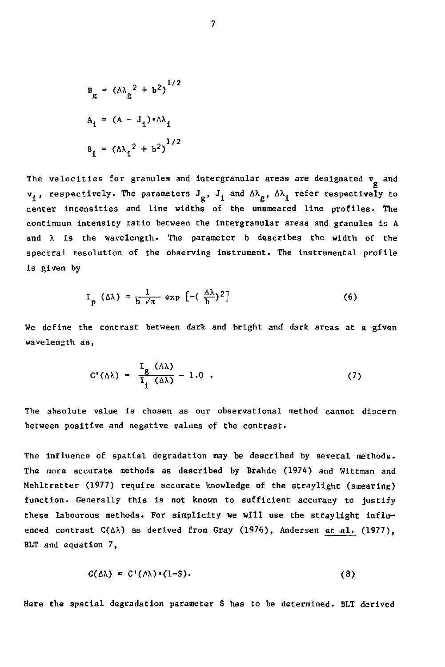$$
B_{B} = (\Delta \lambda_{B}^{2} + b^{2})^{1/2}
$$
  
\n
$$
A_{1} = (\Delta - J_{1}) \cdot \Delta \lambda_{1}
$$
  
\n
$$
B_{1} = (\Delta \lambda_{1}^{2} + b^{2})^{1/2}
$$

The velocities for granules and intergranular areas are designated  $v_g$  and  $v_1$ , respectively. The parameters  $J_p$ ,  $J_1$  and  $\Delta\lambda_p$ ,  $\Delta\lambda_i$  refer respectively to center intensities and line widths of the unsraeared line profiles. The continuum intensity ratio between the intergranular areas and granules is A and  $\lambda$  is the wavelength. The parameter b describes the width of the spectral resolution of the observing instrument. The Instrumental profile is given by

$$
I_p (\Delta \lambda) = \frac{1}{b \sqrt{\pi}} \exp \left[ -(\frac{\Delta \lambda}{b})^2 \right] \tag{6}
$$

We define the contrast between dark and bright and dark areas at a given wavelength as,

$$
C'(\Delta\lambda) = \frac{I_g(\Delta\lambda)}{I_f(\Delta\lambda)} - 1.0
$$
 (7)

The absolute value is chosen as our observational method cannot discern between positive and negative values of the contrast.

The influence of spatial degradation may be described by several methods. The more accurate methods as described by Brahde (1974) and Wittman and Mehltretter (1977) require accurate knowledge of the straylight (smearing) function. Generally this is not known to sufficient accuracy to justify these labourous methods. For simplicity we will use the straylight influenced contrast  $C(\Delta \lambda)$  as derived from Gray (1976), Andersen et al. (1977), BLT and equation 7,

$$
C(\Delta\lambda) = C'(\lambda\lambda) \cdot (1-S). \tag{8}
$$

Here the spatial degradation parameter S has to be determined. BLT derived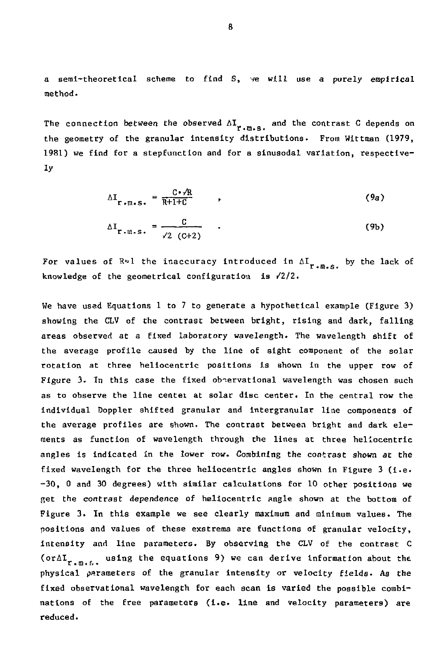a serai-theoretical scheme to find S, ve will use a purely empirical method.

The connection between the observed  $\Delta I_{r,m,s}$ , and the contrast C depends on region.<br>Aleksalbuklene – Russ Without 1981) we find for a stepfunction and for a sinusodal variation, respective- $1981$  we find for a step function and for a step  $\frac{1}{2}$  variation, respective-for a sinusodal variation, respective-for a sinusodal variation,  $\frac{1}{2}$  variation,  $\frac{1}{2}$  variation,  $\frac{1}{2}$  variation,  $\frac{1}{2}$  v

$$
\Delta I_{r.m.s.} = \frac{C \cdot / R}{R + 1 + C} \qquad , \qquad (9a)
$$

$$
\Delta I_{r \text{-} u \text{-} s} = \frac{c}{\sqrt{2} (c+2)}
$$
 (9b)

For values of  $\mathbb{R}^n$ l the inaccuracy introduced in  $\Delta I_{r,m,s}$ , by the lack of r-o.s\* knowledge of the geometrical configuration is /2/2.

We have used Equations 1 to 7 to generate a hypothetical example (Figure 3) showing the CLV of the contrast between bright, rising and dark, falling areas observed at a fixed laboratory wavelength. The wavelength shift of the average profile caused by the line of sight component of the solar rotation at three heliocentric positions is shown in the upper row of Figure 3. In this case the fixed observational wavelength was chosen such as to observe the line centei at solar disc center. In the central row the Individual Doppler shifted granular and intergranular line components of the average profiles are shown. The contrast between bright and dark elements as function of wavelength through the lines at three heliocentric angles Is Indicated in the lower row. Combining the contrast shown at the fixed wavelength for the three heliocentric angles shown in Figure 3 (I.e. -30, 0 and 30 degrees) with similar calculations for 10 other positions we get the contrast dependence of heliocentric angle shown at the bottom of Figure 3. In this example we see clearly maximum and minimum values. The positions and values of these exstrema are functions of granular velocity, intensity and line parameters. By observing the CLV of the contrast C ( $\text{ordI}_{r,m,t,i}$  using the equations 9) we can derive information about the physical parameters of the granular Intensity or velocity fields. As the fixed observational wavelength for each scan is varied the possible combinations of the free parameters (i.e. line and velocity parameters) are reduced.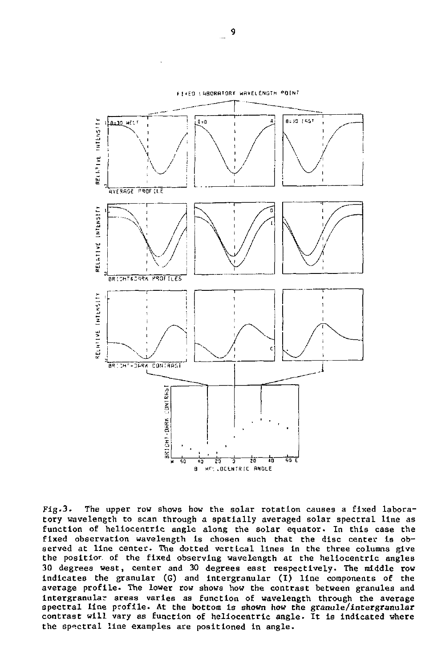

Fig-3. The upper row shows how the solar rotation causes a fixed laboratory wavelength to scan through a spatially averaged solar spectral line as function of heliocentric angle along the solar equator. In this case the fixed observation wavelength is chosen such that the disc center is observed at line center. The dotted vertical lines in the three columns give the positior. of the fixed observing wavelength at the heliocentric angles 30 degrees west, center and 30 degrees east respectively. The middle row indicates the granular (G) and Intergranular (T) line components of the average profile. The lower row shows how the contrast between granules and intergranular areas varies as function of wavelength through the average spectral line profile. At the bottom is shown how the granule/intergranular contrast will vary as function of heliocentric angle. It is Indicated where the spectral line examples are positioned in angle.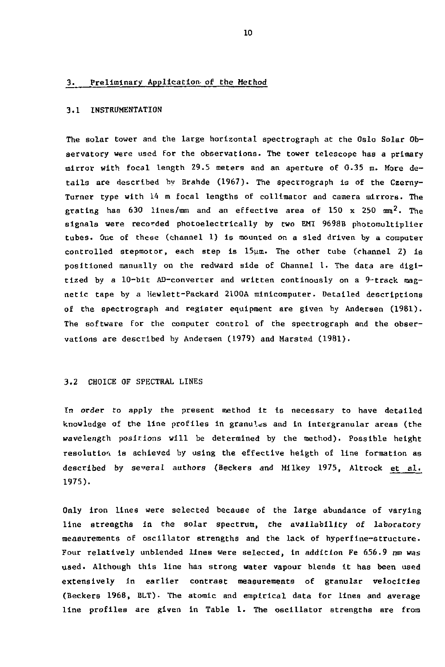# 3. Preliminary Application of the Method

### 3.1 INSTRUMENTATION

The solar tower and the large horizontal spectrograph at the Oslo Solar Observatory were used for the observations. The tower telescope has a primary mirror with focal length 29.5 meters and an aperture of 0.35 m. More details are described by Brahde (1967). The spectrograph Is of the Czerny-Turner type with 14 m focal lengths of collimator and camera mirrors. The grating has 630 lines/mm and an effective area of 150 x 250  $\text{mm}^2$ . The signals were recorded photoelectrically by two EMI 9698B photomultlpller tubes. One of these (channel 1) is mounted on a sled driven by a computer controlled stepmotor, each step is  $15\mu\text{m}$ . The other tube (channel 2) is positioned manually on the redward side of Channel 1. The data are digitized by a  $10$ -bit AD-converter and written continously on a 9-track magnetic tape by a Hewlett-Packard 2100A minicomputer. Detailed descriptions of the spectrograph and register equipment are given by Andersen (1981). The software for the computer control of the spectrograph and the observations are described by Andersen (1979) and Marstad (1981).

# 3.2 CHOICE OF SPECTRAL LINES

In order to apply the present method it is necessary to have detailed knowledge of the line profiles in granules and in intergranular areas (the wavelength positions will be determined by the method). Possible height resolution Is achieved by using the effective heigth of line formation as described by several authors (Beckers and Milkey 1975, Altrock et al. 1975).

Only iron lines were selected because of the large abundance of varying line strengths in the solar spectrum, the availability of laboratory measurements of oscillator strengths and the lack of hyperfIne-structure. Four relatively unblended lines were selected, in addition Fe 656.9 nm *was*  used. Although this line has strong water vapour blends it has been used extensively in earlier contrast measurements of granular velocities (Beckers 1968, BLT)- The atomic and empirical data for lines and average line profiles are given in Table 1. The oscillator strengths are from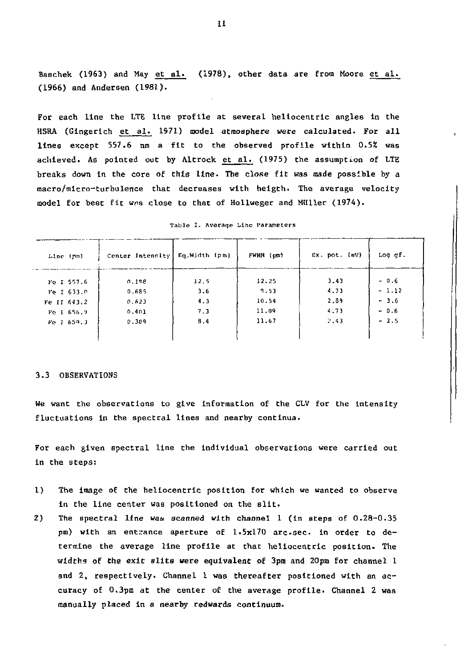Baschek (1963) and May et al. (1978), other data are from Moore et al. (1966) and Andersen (1981).

For each line the LTE line profile at several heliocentric angles in the HSRA (Gingerich et al. 1971) model atmosphere were calculated. For all lines except 557.6 nm a fit to the observed profile within 0.5% was achieved. As pointed out by Altrock et al. (1975) the assumption of LTE breaks down tn the core of this line. The close fit was made possible by a macro/micro-turbulence that decreases with heigth. The average velocity model for best fit was close to that of Hollweger and Müller (1974).

| Line (pm)   | Center Intensity | Eg.Width (pm) | FWHH (pm) | Ex. pot. (eV) | Log gf. |
|-------------|------------------|---------------|-----------|---------------|---------|
| Fe I 557.6  | 0.198            | 12.5          | 12.25     | 3.43          | $-0.6$  |
| Fe I 633.0  | 0.685            | 3.6           | 9.53      | 4.73          | $-1.12$ |
| Fe II 643.2 | 0.623            | 4.3           | 10.54     | 2.89          | $-3.6$  |
| Fo 1 656.9  | 0.401            | 7.3           | 11.09     | 4.73          | $-0.6$  |
| Fe 1 659.3  | 0.309            | 8.4           | 11,67     | 2.43          | $-2.5$  |
|             |                  |               |           |               |         |

Table I. Averaqe Line Parameters

## 3.3 OBSERVATIONS

We want the observations to give information of the CLV for the intensity fluctuations in the spectral lines and nearby continua.

For each given spectral line the individual observations were carried out in the steps:

- 1) The image of the heliocentric position for which we wanted to observe in the line center was positioned on the slit.
- 2) The spectral line *wan* scanned with channel 1 (in steps of 0.28-0.35 pm) with an entrance aperture of 1.5x170 arc.sec. in order to determine the average line profile at that heliocentric position. The widths of the exit slits were equivalent of 3pm and 20pm for channel 1 and 2, respectively. Channel 1 was thereafter positioned with an accuracy of 0.3pm at the center of the average profile. Channel 2 was manually placed in *a* nearby redwards continuum.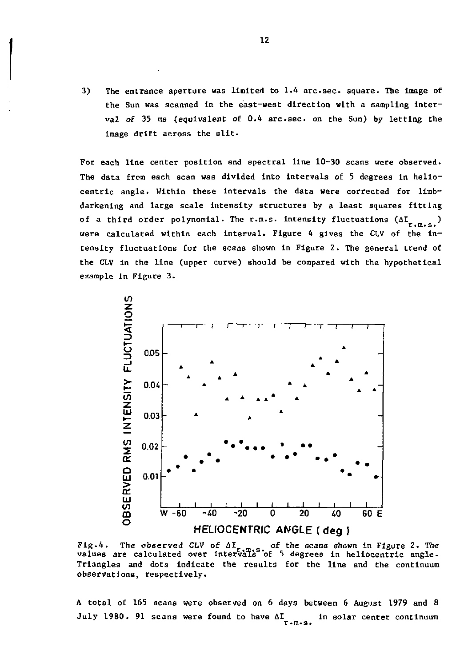3) The entrance aperture was limited to 1.4 arc sec square. The image of the Sun was scanned in the east-west direction with a sampling interval of 35 ms (equivalent of 0.4 arc.sec. on the Sun) by letting the image drift across the Bllt.

For each line center position and spectral line 10-30 scans were observed. The data from each scan was divided into intervals of 5 degrees In heliocentric angle. Within these intervals the data were corrected for limbdarkening and large scale intensity structures by a least squares fitting of a third order polynomial. The r.m.s. intensity fluctuations  $(\Delta I_{r,m,s})$ were calculated within each interval. Figure 4 gives the CLV of the intensity fluctuations for the scans shown in Figure 2. The general trend of the CLV in the line (upper curve) should be compared with the hypothetical example in Figure 3.



Fig.4. The observed CLV of AI<sub>r.m.s</sub> of the scans shown in Figure 2. The<br>values are calculated over intervals of 5 degrees in heliocentric angle. Trianglea and dots indicate the results for the line and the continuum observations, respectively.

A total of 165 scans were observed on 6 days between 6 August 1979 and 8 July 1980. 91 scans were found to have  $\Delta I_{r.m.s.}$  in solar center continuum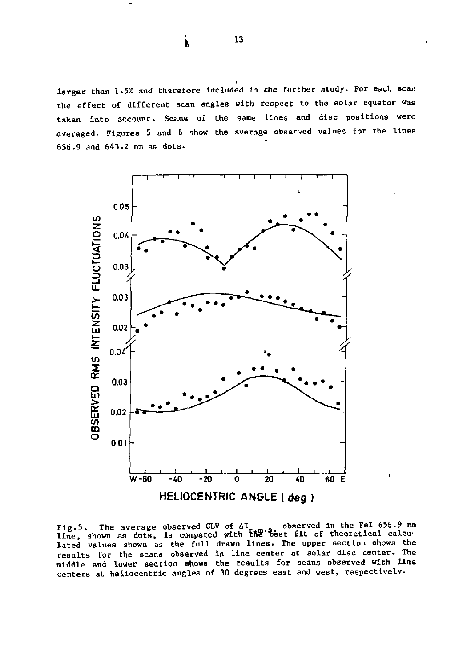larger than 1.5% and therefore included in the further study. For each scan the effect of different scan angles with respect to the solar equator was taken into account. Scans of the same lines and disc positions were averaged. Figures 5 and 6 show the average observed values for the lines 656.9 and 643.2 nm as dots.



Fig.5. The average observed CLV of AI, a observed in the Fel 656.9 nm<br>line, shown as dots, is compared with the best fit of theoretical calculated values shown as the full drawn lines. The upper section shows the results for the scans observed in line center at solar disc center. The middle and lower section shows the results for scans observed with line centers at heliocentric angles of 30 degrees east and west, respectively.

 $13$ 

*i*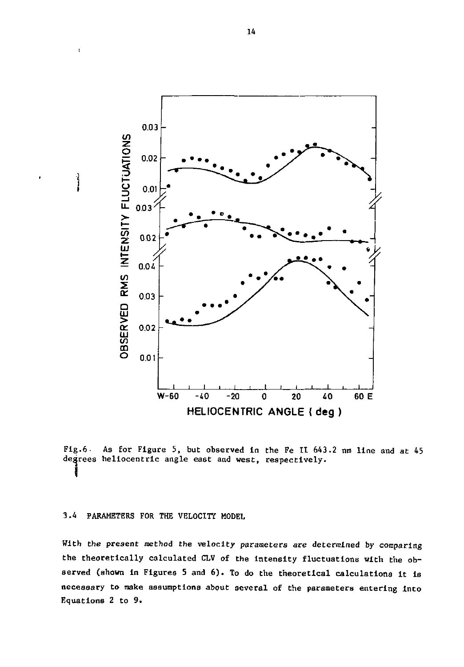

Fig.6. As for Figure 5, but observed in the Fe II 643.2 nm line and at 45 degrees heliocentric angle east and west, respectively.

## 3.4 PARAMETERS FOR THE VELOCITY MODEL

 $\mathbf{r}$ 

With the present method the velocity parameters are determined by comparing the theoretically calculated CLV of the intensity fluctuations with the observed (shown In Figures 5 and 6). To do the theoretical calculations It is necessary to make assumptions about several of the parameters entering Into Equations 2 to 9.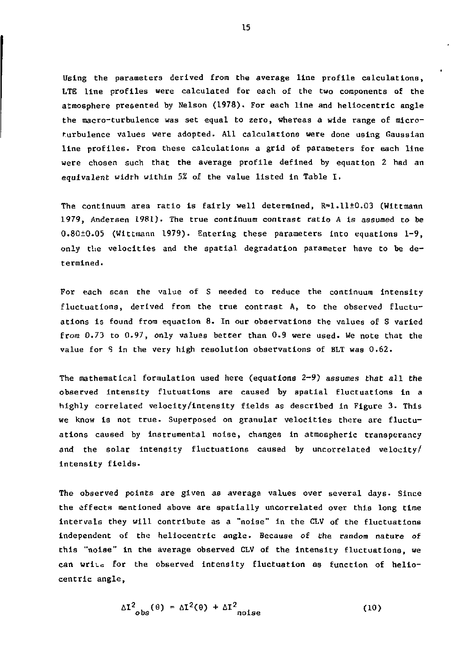Using the parameters derived from the average line profile calculations, LTE line profiles were calculated for each of the two components of the atmosphere presented by Nelson (1978). For each line and heliocentric angle the macro-turbulence was set equal to zero, whereas a wide range of microturbulence values were adopted. All calculations were done using Gaussian line profiles. From these calculations a grid of parameters for each line were chosen such that the average profile defined by equation 2 had an equivalent width within *5%* of the value listed in Table I.

The continuum area ratio is fairly well determined,  $R=1.11\pm0.03$  (Wittmann 1979, Andersen 1981). The true continuum contrast ratio A is assumed to be 0.80±0.05 (Wittmann 1979). Entering these parameters into equations 1-9, only the velocities and the spatial degradation parameter have to be determined.

For each scan the value of S needed to reduce the continuum intensity fluctuations, derived from the true contrast  $A<sub>p</sub>$  to the observed fluctuations is found from equation 8. In our observations the values of S varied from 0.73 to 0.97, only values better than 0.9 were used. We note that the value for S in the very high resolution observations of BLT was 0.62.

The mathematical formulation used here (equations  $2-9$ ) assumes that all the observed intensity flutuations are caused by spatial fluctuations in a highly correlated velocity/intensity fields as described in Figure 3. This we know is not true- Superposed on granular velocities there are fluctuations caused by instrumental noise, changes in atmospheric transperancy and the solar intensity fluctuations caused by uncorrelated velocity/ intensity fields.

The observed points are given as average values over several days. Since the effects mentioned above are spatially uncorrelated over this long time intervals they will contribute as a "noise" in the CLV of the fluctuations independent of the heliocentric angle. Because of the random nature of this "noise" in the average observed CLV of the intensity fluctuations, we can wriuc for the observed intensity fluctuation as function of heliocentric angle,

$$
\Delta I_{obs}^2(\theta) = \Delta I^2(\theta) + \Delta I_{noise}^2
$$
 (10)

15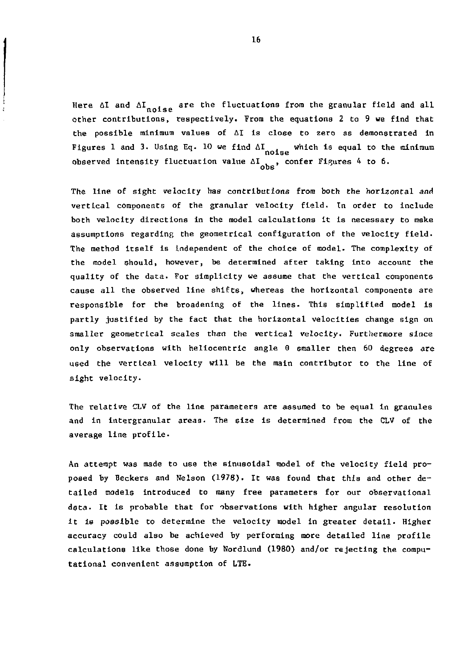Here  $\Delta I$  and  $\Delta I$ <sub>noise</sub> are the fluctuations from the granular field and all other contributions, respectively. From the equations 2 to 9 we find that the possible minimum values of AI is close to zero as demonstrated in Figures 1 and 3. Using Eq. 10 we find  $\Delta I_{\text{noise}}$  which is equal to the minimum observed intensity fluctuation value  $\Delta I_{obs}$ , confer Figures 4 to 6.

 $\ddot{a}$ ł

> The line of sight velocity has contributions from both the horizontal and vertical components of the granular velocity field. In order to include both velocity directions in the model calculations it is necessary to make assumptions regarding the geometrical configuration of the velocity field. The method itself is independent of the choice of model. The complexity of the model should, however, be determined after taking into account the quality of the data. For simplicity we assume that the vertical components cause all the observed line shifts, whereas the horizontal components are responsible for the broadening of the lines- This simplified model is partly justified by the fact that the horizontal velocities change sign on smaller geometrical scales than the vertical velocity. Furthermore since only observations with heliocentric angle 9 smaller then 60 degrees are used the vertical velocity will be the main contributor to the line of sight velocity.

> The relative CLV of the line parameters are assumed to be equal in granules and in Intergranular areas. The size Is determined from the CLV of the average line profile.

> An attempt was made to use the sinusoidal model of the velocity field proposed by Beckers and Nelson (1978). It was found that this and other detailed models introduced to many free parameters for our observational data. It is probable that for observations with higher angular resolution It is possible to determine the velocity model in greater detail. Higher accuracy could also be achieved by performing more detailed line profile calculations like those done by Nordlund (I960) and/or rejecting the computational convenient assumption of LTE.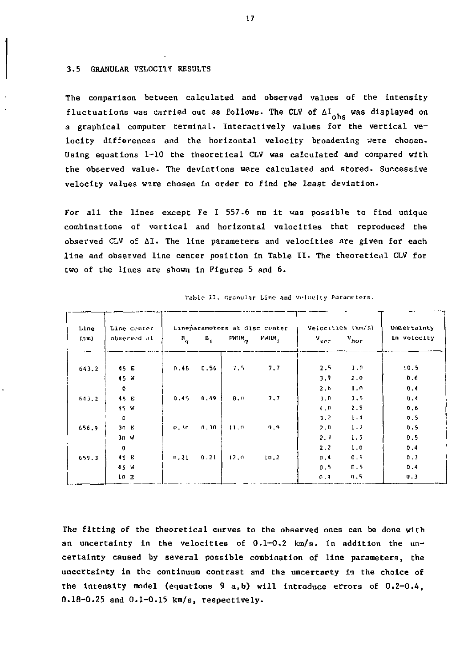#### 3.5 GRANULAR VELOCITY RESULTS

The comparison between calculated and observed values of the intensity fluctuations was carried out as follows. The CLV of  $\Delta I_{obs}$  was displayed on a graphical computer terminal. Interactively values for the vertical velocity differences and the horizontal velocity broadening were choean. Using equations 1-10 the theoretical CLV was calculated and compared with the observed value. The devlations were calculated and stored. Successive velocity values were chosen in order to find the least deviation-

For all the lines except Fe I 557.6 nm it was possible to find unique combinations of vertical and horizontal velocities that reproduced the observed CLV of AI. The line parameters and velocities are given for each line and observed line center position in Table II- The theoretical CLV for two of the lines are shown in Figures 5 and 6.

| Line<br>(mm) | Line center<br>observed at | $B_{\mathbf{q}}$ | $B_i$ | $FWHM_{\mathbf{q}}$ | Lineparameters at disc center<br>FWHM, | $v_{ver}$  | Velocities (km/s)<br>$v_{\text{hor}}$ | Undertainty<br>In velocity |
|--------------|----------------------------|------------------|-------|---------------------|----------------------------------------|------------|---------------------------------------|----------------------------|
| 643.2        | 45 E                       | 0.4B             | 0.56  | 7.5                 | 7.7                                    | 2.5        | 1.0                                   | 10.5                       |
|              | 45 W<br>$\bullet$          |                  |       |                     |                                        | 3.9<br>2.6 | 2.0<br>1.0                            | 0.6<br>0.4                 |
| 643.2        | 45 E                       | 0.45             | 0.49  | B.0                 | 7.7                                    | 3.0        | 1.5                                   | 0.4                        |
|              | 45 W                       |                  |       |                     |                                        | 4.0        | 2.5                                   | 0.6                        |
| 656.9        | $\mathbf{D}$<br>30E        | 0.30             | n, 3n | 11.0                | 9,9                                    | 3.2<br>2.0 | 1.4<br>1.2                            | 0.5<br>0.5                 |
|              | 30 W                       |                  |       |                     |                                        | 2.3        | 1.5                                   | D.5                        |
|              | $\mathbf{0}$               |                  |       |                     |                                        | 2.2        | 1.0                                   | 0.4                        |
| 659.3        | 45 E                       | n.21             | 0.21  | 12.0                | 10.2                                   | 0.4        | 0.5                                   | 0.3                        |
|              | 45 W<br>10E                |                  |       |                     |                                        | 0.5<br>0.4 | 0.5<br>n.5                            | 0.4<br>0.3                 |

Table II. Granular Line and Velocity Parameters.

The fitting of the theoretical curves to the observed ones can be done with an uncertainty in the velocities of 0.1-0.2 km/s. In addition the uncertainty caused by several possible combination of line parameters, the uncertainty in the continuum contrast and the uncertanty in the choice of the intensity model {equations 9 a,b) will introduce errors of 0.2-0.4, 0.18-0.25 and 0.1-0.15 km/s, respectively.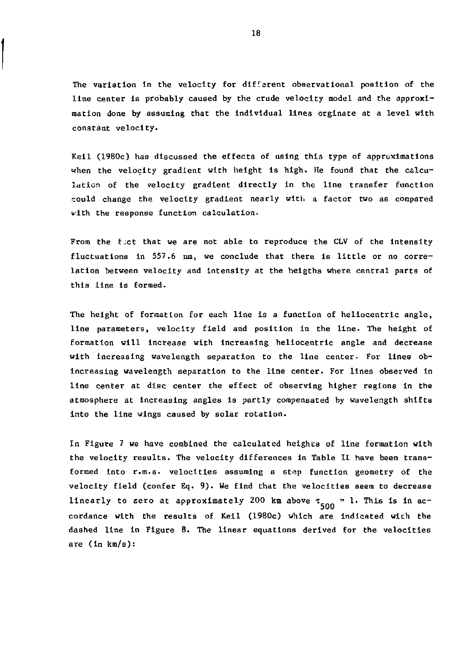The variation in the velocity for different observational position of the line center is probably caused by the crude velocity model and the approximation done by assuming that the individual lines orginate at a level with constant velocity.

Keil (1980c) has discussed the effects of using this type of approximations when the velocity gradient with height is high. He found that the calculation of the velocity gradient directly In the line transfer function could change the velocity gradient nearly with a factor two as compared with the response function calculation.

From the fict that we are not able to reproduce the CLV of the intensity fluctuations in 557.6 nm, we conclude that there is little or no correlation between velocity and intensity at the heigths where central parts of this line is formed.

The height of formation for each line is a function of heliocentric angle, line parameters, velocity field and position in the line. The height of formation will increase with increasing heliocentric angle and decrease with increasing wavelength separation to the line center. For lines obincreasing wavelength separation to the line center. For lines observed in line center at disc center the effect of observing higher regions in the atmosphere at increasing angles is partly compensated by wavelength shifts into the line wings caused by solar rotation.

In Figure 7 we have combined the calculated heights of line formation with the velocity results. The velocity differences in Table II have been transformed into r.m.s. velocities assuming a st^p function geometry of the velocity field (confer Eq. 9). We find that the velocities seem to decrease linearly to zero at approximately 200 km above  $\tau_{500} = 1$ . This is in acwith the wooults of Veil (1980e) which are dashed line in Figure 8. The linear equations derived for the velocities are (in km/s):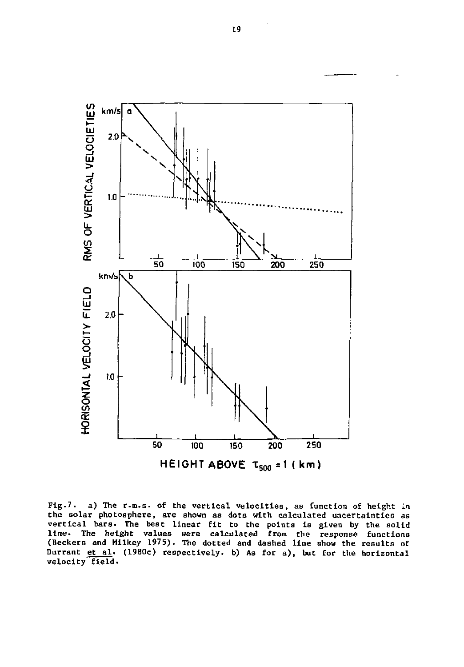

**Fig.7. a) The r.m.s. of the vertical velocities, as function o£ height In the solar photosphere, are shown as dots with calculated uncertainties as**  vertical bars. The best linear fit to the points is given by the solid<br>line. The height values were calculated from the response functions<br>(Beckers and Milkey 1975). The dotted and dashed line show the results of **Durrant et al. (1980c) respectively, b) As for a), but for the horizontal velocity field.**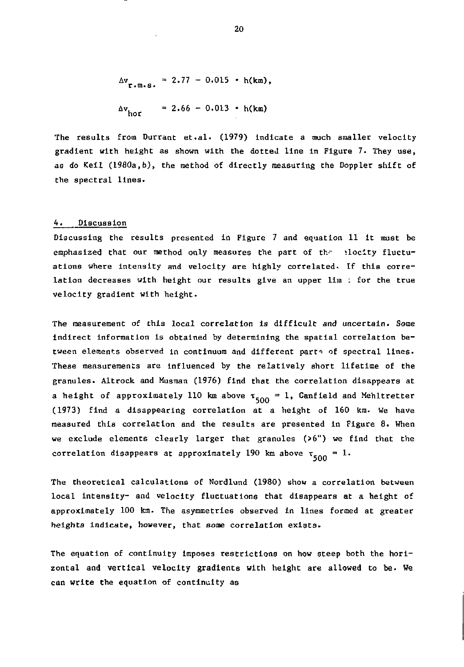$$
\Delta v_{r.m.S.} = 2.77 - 0.015 \cdot h(km),
$$
  

$$
\Delta v_{hor} = 2.66 - 0.013 \cdot h(km)
$$

The results from Durrant et.al. (1979) indicate a much smaller velocity gradient with height as shown with the dotted line in Figure 7. They use, as do Keil (1980a,b), the method of directly measuring the Doppler shift of the spectral lines.

## 4. Discussion

Discussing the results presented In Figure 7 and equation 11 it must be emphasized that our method only measures the part of the elocity fluctuations where intensity and velocity are highly correlated- If this correlation decreases with height our results give an upper lim : for the true velocity gradient with height.

The measurement of this local correlation is difficult and uncertain. Some Indirect information is obtained by determining the spatial correlation between elements observed in continuum and different parts of spectral lines. These measurements are influenced by the relatively short lifetime of the granules. Altrock and Musraan (1976) find that the correlation disappears at a height of approximately 110 km above  $\tau_{500} = 1$ , Canfield and Mehltretter (1973) find a disappearing correlation at a height of 160 km. We have measured this correlation and the results are presented in Figure 8. When we exclude elements clearly larger that granules (>6") we find that the correlation disappears at approximately 190 km above  $\tau_{500} = 1$ .

The theoretical calculations of Nordlund (1980) show a correlation between local intensity- and velocity fluctuations that disappears at a height of approximately 100 km. The asymmetries observed in lines formed at greater heights Indicate, however, that some correlation exists.

The equation of continuity Imposes restrictions on how steep both the horizontal and vertical velocity gradients with height are allowed to be. We can write the equation of continuity as

20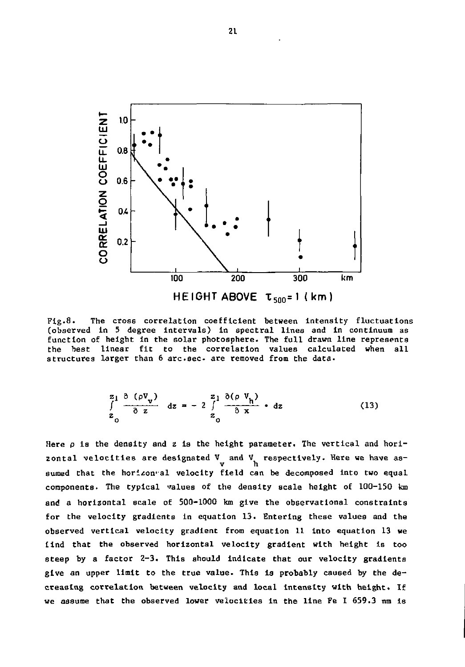

Fig.8. The cross correlation coefficient between intensity fluctuations (observed In 5 degree Intervals) in spectral lines and in continuum as function of height In the solar photosphere. The full drawn line represents the best linear fit to the correlation values calculated when all structures larger than 6 arc.sec. are removed from the data.

$$
\frac{z_1}{\int_{z_0}^{1} \frac{\partial (\rho \mathbf{V}_v)}{\partial z} dz = -2 \int_{z_0}^{2} \frac{\partial (\rho \mathbf{V}_h)}{\partial x} dz
$$
 (13)

Here  $\rho$  is the density and z is the height parameter. The vertical and horizontal velocities are designated  $V$  and  $V$  respectively. Here we have assumed that the horizon al velocity field can be decomposed into two equal components. The typical values of the density scale height of 100-150 km and a horizontal scale of 500-1000 km give the observational constraints for the velocity gradients in equation 13. Entering these values and the observed vertical velocity gradient from equation 11 Into equation 13 we tind that the observed horizontal velocity gradient with height Is too steep by a factor 2-3. This should indicate that our velocity gradients give an upper limit to the true value. This is probably caused by the decreasing correlation between velocity and local intensity with height. If we assume that the observed lower velocities In the line Fe I 659.3 nm is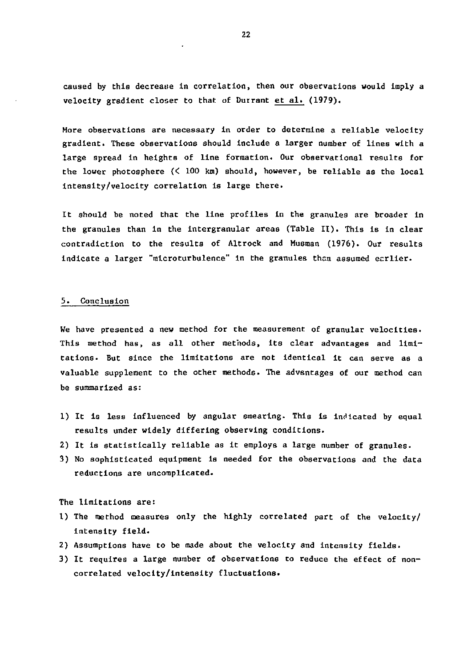caused by this decrease in correlation, then our observations would imply a velocity gradient closer to that of Dutrant et al. (1979).

More observations are necessary in order to determine a reliable velocity gradient. These observations should include a larger number of lines with a large spread in heights of line formation. Our observational results for the lower photosphere (< 100 km) should, however, be reliable as the local intensity/velocity correlation is large there.

It should be noted that the line profiles in the granules are broader in the granules than in the intergranular areas (Table II). This is in clear contradiction to the results of Altrock and Musraan (1976). Our results indicate a larger "microturbulence" in the granules than assumed ecrlier.

#### 5. Conclusion

We have presented a new method for the measurement of granular velocities. This method has, as all other methods, its clear advantages and limitations. But since the limitations are not identical it can serve as a valuable supplement to the other methods. The advantages of our method can be summarized as:

- 1) It Is less influenced by angular smearing. This is indicated by equal results under widely differing observing conditions.
- 2) It is statistically reliable as it employs a large number of granules.
- 3) No sophisticated equipment is needed for the observations and the data reductions are uncomplicated.

#### The limitations are:

- 1) The method measures only the highly correlated part of the velocity/ intensity field.
- 2) Assumptions have to be made about the velocity and intensity fields.
- 3) It requires a large number of observations to reduce the effect of noncorrelated velocity/intensity fluctuations.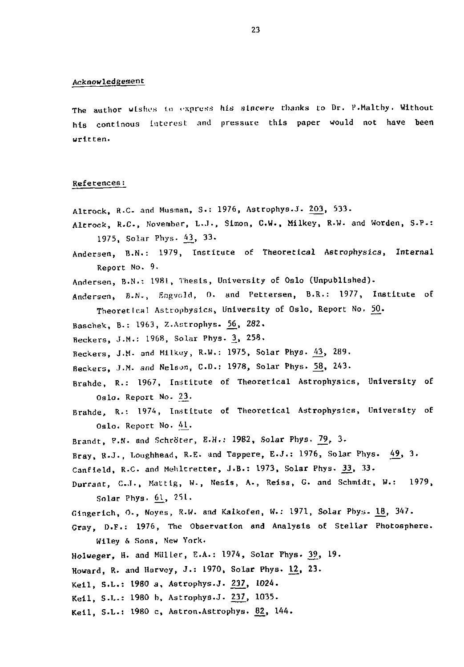#### Acknowledgement

The author wishes to express his sincere thanks to Dr. P.Maltby. Without his contlnous Interest and pressure this paper would not have heen written.

#### References:

- Altrock, R.C. and Musman, S.: 1976, Astrophys.J. 203, 533.
- Altrock, R.C., November, L.J., Simon, C.W., Milkey, R.W. and Worden, S.P.: 1975, Solar Phys. 43\_, 33.
- Andersen, B.N.: 1979, Institute of Theoretical Astrophysics, Internal Report No. 9.
- Andersen, B.N.: 1981, Thesis, University of Oslo (Unpublished).

Andersen, B.N., Engvold, O. and Pettersen, B.R.: 1977, Institute of Theoretical Astrophysics, University of Oslo, Report No. 50.

- Baschek, B.: 1963, Z.Astrophys. ^6\_, 282.
- Beckers, J.M.: 1968, Solar Phys. <u>3</u>, 258

Beckers, J.M. and Milkey, R.W.: 1975, Solar Phys. 43, 289.

- Beckers, J.M. and Nelson, C.D.: 1978, Solar Phys. 58, 243.
- Brahde, R.: 1967, Institute of Theoretical Astrophysics, University of Oslo. Report No. 23.
- Brahde, R.'. 1974, Institute of Theoretical Astrophysics, University of Oslo. Report No. 41.
- Brandt, P.N. and Schröter, E.H.: 1982, Solar Phys. 79, 3.
- Bray, R.J., Loughhead, R.E. and Tappere, E.J.: 1976, Solar Phys. 49, 3.
- Canfield, R.C. and Mehltretter, J.B.: 1973, Solar Phys. 33, 33.
- Durrant, C.J., Mattig, W., Nesis, A., Reiss, G. and Schmidt, W.: 1979,  $Solar Phys. 61, 251.$
- Gingerich, O., Noyes, R.W. and Kalkofen, W.: 1971, Solar Phys. 18, 347.
- Gray, D.F.: 1976, The Observation and Analysis of Stellar Photosphere. Wiley & Sons, New York.
- Holweger, H. and Müller, E.A.: 1974, Solar Phys. 39, 19.
- Howard, R. and Harvey, J.: 1970, Solar Phys. 12\_, 23.
- Keil, S.L.: 1980 a, Astrophys.J. 237, 1024.
- Keil, S.L.: 1980 b, Astrophys.J. 237, 1035.
- Keil, S.L.: 1980 c, Astron.Astrophys. 82, 144.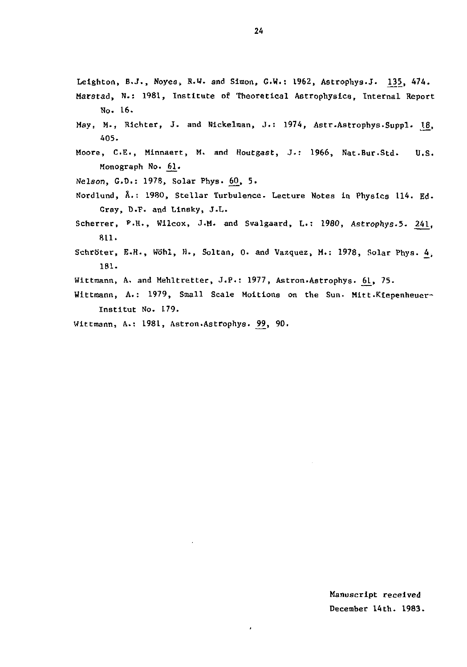Leighton, B.J., Noyes, R.W. and Simon, G.W.: 1962, Astrophys.J. 135, 474. Marstad, N.: 1981, Institute o£ Theoretical Astrophysics, Internal Report

- No. 16.
- May, M., Richter, J. and Nickelman, J.: 1974, Astr.Astrophys.Suppl. 18, 405.
- Moore, C.E., Minnaert, M. and Houtgast, J-: 1966, Nat.Bur.Std. U.S. Monograph No. 61.
- Nelson, G.D.: 1978, Solar Phys. 60, 5.
- Nordlund, Å.: 1980, Stellar Turbulence. Lecture Notes in Physics 114. Ed. Gray, D.F. and Linsky, J.L.
- Scherrer, P.H., Wilcox, J.M. and Svalgaard, L.: 1980, Astrophys.5. 241, 811.
- Schröter, E.H., Wöhl, H., Soltan, O. and Vazquez, M.: 1978, Solar Phys. 4. 181.
- Wittmann, A. and Mehltretter, J.P.: 1977, Astron.Astrophys. 61, 75.
- Wittmann, A.: 1979, Small Scale Moitions on the Sun. Mitt.Kiepenheuer-Institut No. 179.
- Wittmann, A.: 1981, Astron.Astrophys. 99, 90.